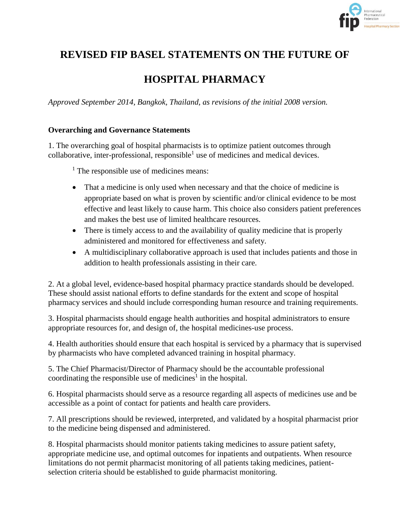

# **REVISED FIP BASEL STATEMENTS ON THE FUTURE OF**

# **HOSPITAL PHARMACY**

*Approved September 2014, Bangkok, Thailand, as revisions of the initial 2008 version.*

#### **Overarching and Governance Statements**

1. The overarching goal of hospital pharmacists is to optimize patient outcomes through collaborative, inter-professional, responsible<sup>1</sup> use of medicines and medical devices.

 $<sup>1</sup>$  The responsible use of medicines means:</sup>

- That a medicine is only used when necessary and that the choice of medicine is appropriate based on what is proven by scientific and/or clinical evidence to be most effective and least likely to cause harm. This choice also considers patient preferences and makes the best use of limited healthcare resources.
- There is timely access to and the availability of quality medicine that is properly administered and monitored for effectiveness and safety.
- A multidisciplinary collaborative approach is used that includes patients and those in addition to health professionals assisting in their care.

2. At a global level, evidence-based hospital pharmacy practice standards should be developed. These should assist national efforts to define standards for the extent and scope of hospital pharmacy services and should include corresponding human resource and training requirements.

3. Hospital pharmacists should engage health authorities and hospital administrators to ensure appropriate resources for, and design of, the hospital medicines-use process.

4. Health authorities should ensure that each hospital is serviced by a pharmacy that is supervised by pharmacists who have completed advanced training in hospital pharmacy.

5. The Chief Pharmacist/Director of Pharmacy should be the accountable professional coordinating the responsible use of medicines<sup>1</sup> in the hospital.

6. Hospital pharmacists should serve as a resource regarding all aspects of medicines use and be accessible as a point of contact for patients and health care providers.

7. All prescriptions should be reviewed, interpreted, and validated by a hospital pharmacist prior to the medicine being dispensed and administered.

8. Hospital pharmacists should monitor patients taking medicines to assure patient safety, appropriate medicine use, and optimal outcomes for inpatients and outpatients. When resource limitations do not permit pharmacist monitoring of all patients taking medicines, patientselection criteria should be established to guide pharmacist monitoring.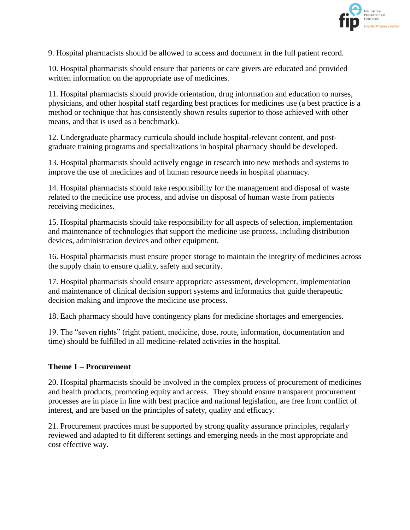

9. Hospital pharmacists should be allowed to access and document in the full patient record.

10. Hospital pharmacists should ensure that patients or care givers are educated and provided written information on the appropriate use of medicines.

11. Hospital pharmacists should provide orientation, drug information and education to nurses, physicians, and other hospital staff regarding best practices for medicines use (a best practice is a method or technique that has consistently shown results superior to those achieved with other means, and that is used as a benchmark).

12. Undergraduate pharmacy curricula should include hospital-relevant content, and postgraduate training programs and specializations in hospital pharmacy should be developed.

13. Hospital pharmacists should actively engage in research into new methods and systems to improve the use of medicines and of human resource needs in hospital pharmacy.

14. Hospital pharmacists should take responsibility for the management and disposal of waste related to the medicine use process, and advise on disposal of human waste from patients receiving medicines.

15. Hospital pharmacists should take responsibility for all aspects of selection, implementation and maintenance of technologies that support the medicine use process, including distribution devices, administration devices and other equipment.

16. Hospital pharmacists must ensure proper storage to maintain the integrity of medicines across the supply chain to ensure quality, safety and security.

17. Hospital pharmacists should ensure appropriate assessment, development, implementation and maintenance of clinical decision support systems and informatics that guide therapeutic decision making and improve the medicine use process.

18. Each pharmacy should have contingency plans for medicine shortages and emergencies.

19. The "seven rights" (right patient, medicine, dose, route, information, documentation and time) should be fulfilled in all medicine-related activities in the hospital.

#### **Theme 1 – Procurement**

20. Hospital pharmacists should be involved in the complex process of procurement of medicines and health products, promoting equity and access. They should ensure transparent procurement processes are in place in line with best practice and national legislation, are free from conflict of interest, and are based on the principles of safety, quality and efficacy.

21. Procurement practices must be supported by strong quality assurance principles, regularly reviewed and adapted to fit different settings and emerging needs in the most appropriate and cost effective way.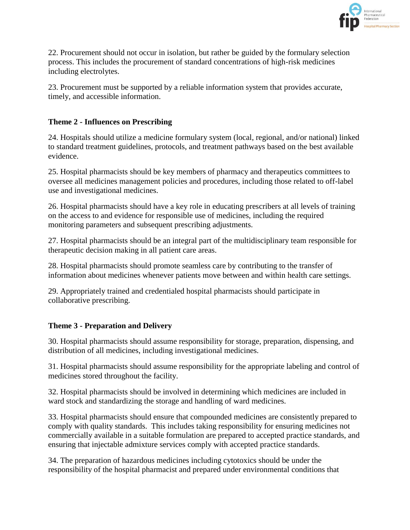

22. Procurement should not occur in isolation, but rather be guided by the formulary selection process. This includes the procurement of standard concentrations of high-risk medicines including electrolytes.

23. Procurement must be supported by a reliable information system that provides accurate, timely, and accessible information.

### **Theme 2 - Influences on Prescribing**

24. Hospitals should utilize a medicine formulary system (local, regional, and/or national) linked to standard treatment guidelines, protocols, and treatment pathways based on the best available evidence.

25. Hospital pharmacists should be key members of pharmacy and therapeutics committees to oversee all medicines management policies and procedures, including those related to off-label use and investigational medicines.

26. Hospital pharmacists should have a key role in educating prescribers at all levels of training on the access to and evidence for responsible use of medicines, including the required monitoring parameters and subsequent prescribing adjustments.

27. Hospital pharmacists should be an integral part of the multidisciplinary team responsible for therapeutic decision making in all patient care areas.

28. Hospital pharmacists should promote seamless care by contributing to the transfer of information about medicines whenever patients move between and within health care settings.

29. Appropriately trained and credentialed hospital pharmacists should participate in collaborative prescribing.

### **Theme 3 - Preparation and Delivery**

30. Hospital pharmacists should assume responsibility for storage, preparation, dispensing, and distribution of all medicines, including investigational medicines.

31. Hospital pharmacists should assume responsibility for the appropriate labeling and control of medicines stored throughout the facility.

32. Hospital pharmacists should be involved in determining which medicines are included in ward stock and standardizing the storage and handling of ward medicines.

33. Hospital pharmacists should ensure that compounded medicines are consistently prepared to comply with quality standards. This includes taking responsibility for ensuring medicines not commercially available in a suitable formulation are prepared to accepted practice standards, and ensuring that injectable admixture services comply with accepted practice standards.

34. The preparation of hazardous medicines including cytotoxics should be under the responsibility of the hospital pharmacist and prepared under environmental conditions that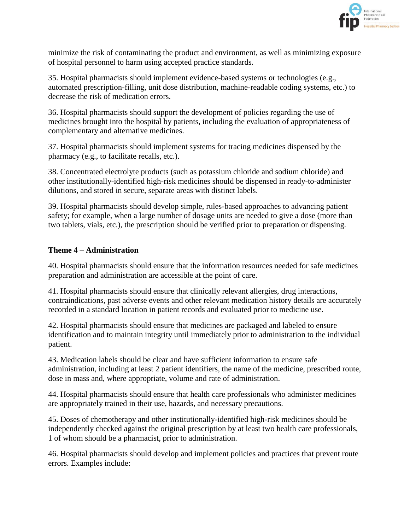

minimize the risk of contaminating the product and environment, as well as minimizing exposure of hospital personnel to harm using accepted practice standards.

35. Hospital pharmacists should implement evidence-based systems or technologies (e.g., automated prescription-filling, unit dose distribution, machine-readable coding systems, etc.) to decrease the risk of medication errors.

36. Hospital pharmacists should support the development of policies regarding the use of medicines brought into the hospital by patients, including the evaluation of appropriateness of complementary and alternative medicines.

37. Hospital pharmacists should implement systems for tracing medicines dispensed by the pharmacy (e.g., to facilitate recalls, etc.).

38. Concentrated electrolyte products (such as potassium chloride and sodium chloride) and other institutionally-identified high-risk medicines should be dispensed in ready-to-administer dilutions, and stored in secure, separate areas with distinct labels.

39. Hospital pharmacists should develop simple, rules-based approaches to advancing patient safety; for example, when a large number of dosage units are needed to give a dose (more than two tablets, vials, etc.), the prescription should be verified prior to preparation or dispensing.

#### **Theme 4 – Administration**

40. Hospital pharmacists should ensure that the information resources needed for safe medicines preparation and administration are accessible at the point of care.

41. Hospital pharmacists should ensure that clinically relevant allergies, drug interactions, contraindications, past adverse events and other relevant medication history details are accurately recorded in a standard location in patient records and evaluated prior to medicine use.

42. Hospital pharmacists should ensure that medicines are packaged and labeled to ensure identification and to maintain integrity until immediately prior to administration to the individual patient.

43. Medication labels should be clear and have sufficient information to ensure safe administration, including at least 2 patient identifiers, the name of the medicine, prescribed route, dose in mass and, where appropriate, volume and rate of administration.

44. Hospital pharmacists should ensure that health care professionals who administer medicines are appropriately trained in their use, hazards, and necessary precautions.

45. Doses of chemotherapy and other institutionally-identified high-risk medicines should be independently checked against the original prescription by at least two health care professionals, 1 of whom should be a pharmacist, prior to administration.

46. Hospital pharmacists should develop and implement policies and practices that prevent route errors. Examples include: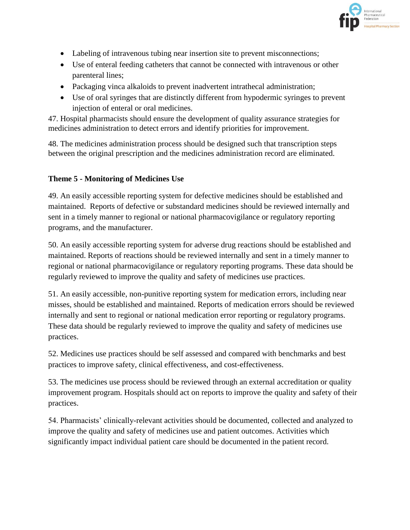

- Labeling of intravenous tubing near insertion site to prevent misconnections;
- Use of enteral feeding catheters that cannot be connected with intravenous or other parenteral lines;
- Packaging vinca alkaloids to prevent inadvertent intrathecal administration;
- Use of oral syringes that are distinctly different from hypodermic syringes to prevent injection of enteral or oral medicines.

47. Hospital pharmacists should ensure the development of quality assurance strategies for medicines administration to detect errors and identify priorities for improvement.

48. The medicines administration process should be designed such that transcription steps between the original prescription and the medicines administration record are eliminated.

#### **Theme 5 - Monitoring of Medicines Use**

49. An easily accessible reporting system for defective medicines should be established and maintained. Reports of defective or substandard medicines should be reviewed internally and sent in a timely manner to regional or national pharmacovigilance or regulatory reporting programs, and the manufacturer.

50. An easily accessible reporting system for adverse drug reactions should be established and maintained. Reports of reactions should be reviewed internally and sent in a timely manner to regional or national pharmacovigilance or regulatory reporting programs. These data should be regularly reviewed to improve the quality and safety of medicines use practices.

51. An easily accessible, non-punitive reporting system for medication errors, including near misses, should be established and maintained. Reports of medication errors should be reviewed internally and sent to regional or national medication error reporting or regulatory programs. These data should be regularly reviewed to improve the quality and safety of medicines use practices.

52. Medicines use practices should be self assessed and compared with benchmarks and best practices to improve safety, clinical effectiveness, and cost-effectiveness.

53. The medicines use process should be reviewed through an external accreditation or quality improvement program. Hospitals should act on reports to improve the quality and safety of their practices.

54. Pharmacists' clinically-relevant activities should be documented, collected and analyzed to improve the quality and safety of medicines use and patient outcomes. Activities which significantly impact individual patient care should be documented in the patient record.